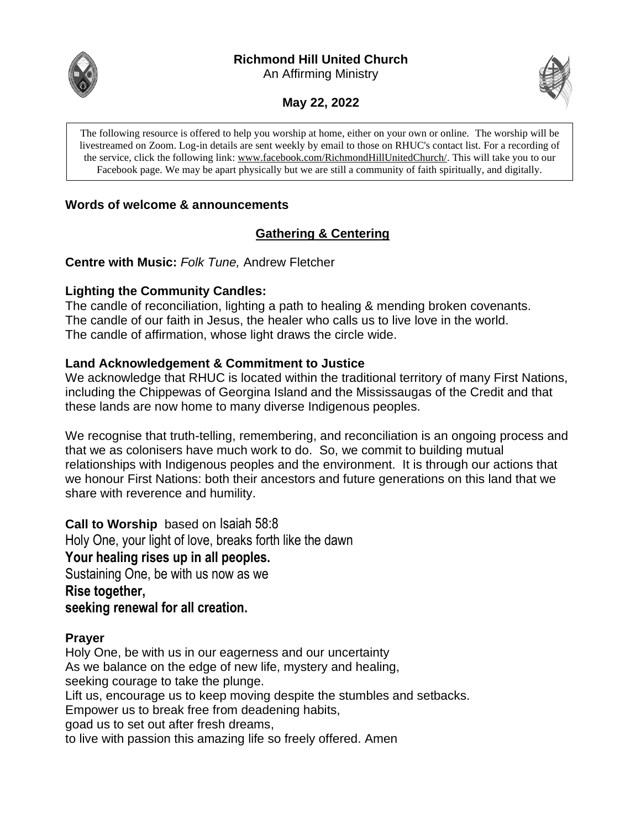# **Richmond Hill United Church**

An Affirming Ministry



**May 22, 2022**

The following resource is offered to help you worship at home, either on your own or online. The worship will be livestreamed on Zoom. Log-in details are sent weekly by email to those on RHUC's contact list. For a recording of the service, click the following link: [www.facebook.com/RichmondHillUnitedChurch/.](http://www.facebook.com/RichmondHillUnitedChurch/) This will take you to our Facebook page. We may be apart physically but we are still a community of faith spiritually, and digitally.

# **Words of welcome & announcements**

# **Gathering & Centering**

**Centre with Music:** *Folk Tune,* Andrew Fletcher

### **Lighting the Community Candles:**

The candle of reconciliation, lighting a path to healing & mending broken covenants. The candle of our faith in Jesus, the healer who calls us to live love in the world. The candle of affirmation, whose light draws the circle wide.

### **Land Acknowledgement & Commitment to Justice**

We acknowledge that RHUC is located within the traditional territory of many First Nations, including the Chippewas of Georgina Island and the Mississaugas of the Credit and that these lands are now home to many diverse Indigenous peoples.

We recognise that truth-telling, remembering, and reconciliation is an ongoing process and that we as colonisers have much work to do. So, we commit to building mutual relationships with Indigenous peoples and the environment. It is through our actions that we honour First Nations: both their ancestors and future generations on this land that we share with reverence and humility.

**Call to Worship** based on Isaiah 58:8 Holy One, your light of love, breaks forth like the dawn **Your healing rises up in all peoples.** Sustaining One, be with us now as we **Rise together, seeking renewal for all creation.**

# **Prayer**

Holy One, be with us in our eagerness and our uncertainty As we balance on the edge of new life, mystery and healing, seeking courage to take the plunge. Lift us, encourage us to keep moving despite the stumbles and setbacks. Empower us to break free from deadening habits, goad us to set out after fresh dreams, to live with passion this amazing life so freely offered. Amen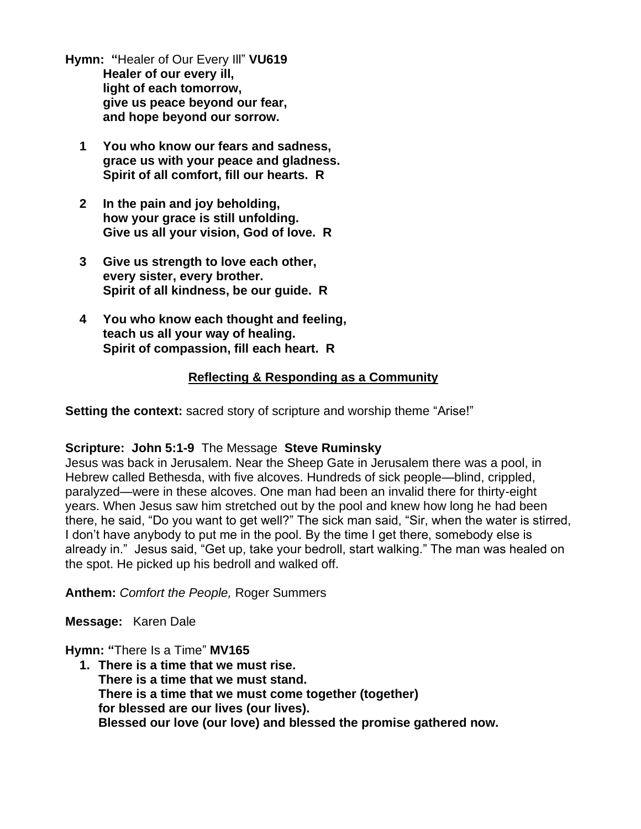**Hymn: "**Healer of Our Every Ill" **VU619 Healer of our every ill, light of each tomorrow, give us peace beyond our fear, and hope beyond our sorrow.**

- **1 You who know our fears and sadness, grace us with your peace and gladness. Spirit of all comfort, fill our hearts. R**
- **2 In the pain and joy beholding, how your grace is still unfolding. Give us all your vision, God of love. R**
- **3 Give us strength to love each other, every sister, every brother. Spirit of all kindness, be our guide. R**
- **4 You who know each thought and feeling, teach us all your way of healing. Spirit of compassion, fill each heart. R**

# **Reflecting & Responding as a Community**

**Setting the context:** sacred story of scripture and worship theme "Arise!"

# **Scripture: John 5:1-9** The Message **Steve Ruminsky**

Jesus was back in Jerusalem. Near the Sheep Gate in Jerusalem there was a pool, in Hebrew called Bethesda, with five alcoves. Hundreds of sick people—blind, crippled, paralyzed—were in these alcoves. One man had been an invalid there for thirty-eight years. When Jesus saw him stretched out by the pool and knew how long he had been there, he said, "Do you want to get well?" The sick man said, "Sir, when the water is stirred, I don't have anybody to put me in the pool. By the time I get there, somebody else is already in." Jesus said, "Get up, take your bedroll, start walking." The man was healed on the spot. He picked up his bedroll and walked off.

**Anthem:** *Comfort the People,* Roger Summers

**Message:** Karen Dale

**Hymn: "**There Is a Time" **MV165**

**1. There is a time that we must rise. There is a time that we must stand. There is a time that we must come together (together) for blessed are our lives (our lives). Blessed our love (our love) and blessed the promise gathered now.**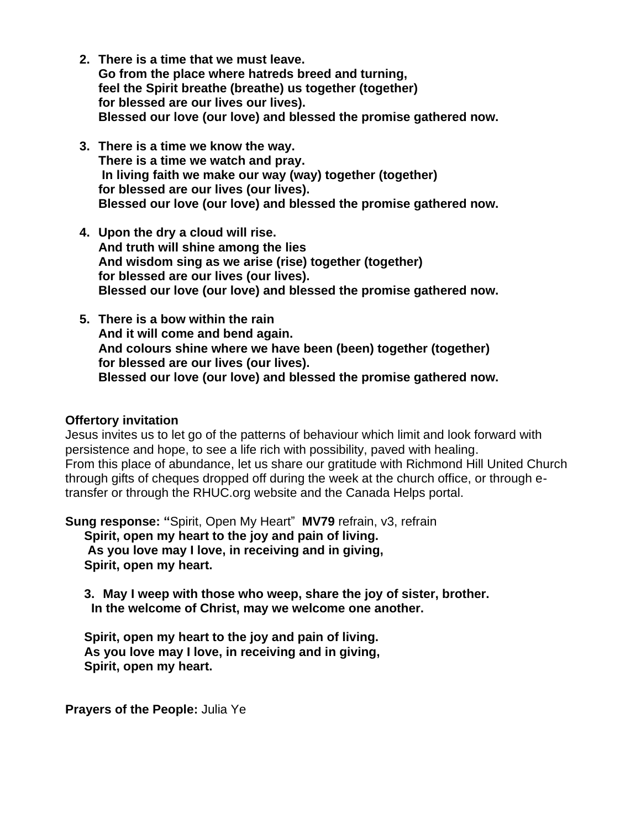- **2. There is a time that we must leave. Go from the place where hatreds breed and turning, feel the Spirit breathe (breathe) us together (together) for blessed are our lives our lives). Blessed our love (our love) and blessed the promise gathered now.**
- **3. There is a time we know the way. There is a time we watch and pray. In living faith we make our way (way) together (together) for blessed are our lives (our lives). Blessed our love (our love) and blessed the promise gathered now.**
- **4. Upon the dry a cloud will rise. And truth will shine among the lies And wisdom sing as we arise (rise) together (together) for blessed are our lives (our lives). Blessed our love (our love) and blessed the promise gathered now.**
- **5. There is a bow within the rain And it will come and bend again. And colours shine where we have been (been) together (together) for blessed are our lives (our lives). Blessed our love (our love) and blessed the promise gathered now.**

#### **Offertory invitation**

Jesus invites us to let go of the patterns of behaviour which limit and look forward with persistence and hope, to see a life rich with possibility, paved with healing. From this place of abundance, let us share our gratitude with Richmond Hill United Church through gifts of cheques dropped off during the week at the church office, or through etransfer or through the RHUC.org website and the Canada Helps portal.

**Sung response: "**Spirit, Open My Heart" **MV79** refrain, v3, refrain **Spirit, open my heart to the joy and pain of living. As you love may I love, in receiving and in giving, Spirit, open my heart.**

**3. May I weep with those who weep, share the joy of sister, brother. In the welcome of Christ, may we welcome one another.**

**Spirit, open my heart to the joy and pain of living. As you love may I love, in receiving and in giving, Spirit, open my heart.**

**Prayers of the People:** Julia Ye